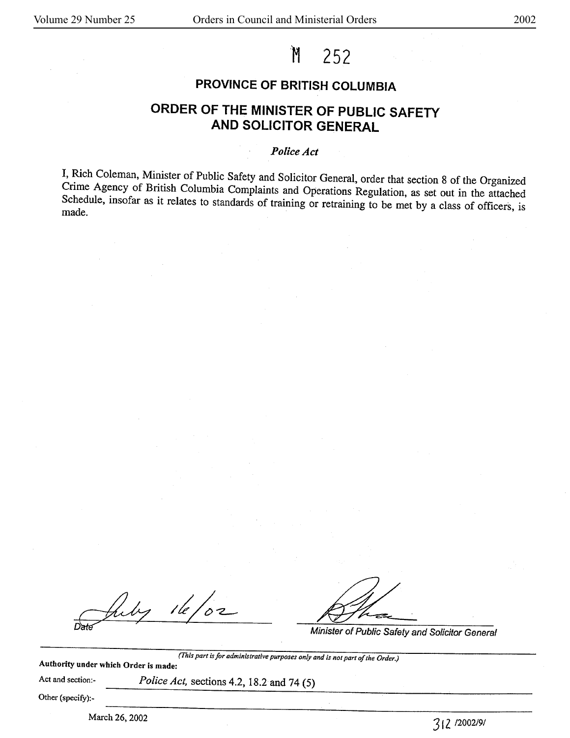# M 252

# **PROVINCE OF BRITISH COLUMBIA**

# **ORDER OF THE MINISTER OF PUBLIC SAFETY AND SOLICITOR GENERAL**

## *Police Act*

I, Rich Coleman, Minister of Public Safety and Solicitor General, order that section 8 of the Organized Crime Agency of British Columbia Complaints and Operations Regulation, as set out in the attached Schedule, insofar as it relates to standards of training or retraining to be met by a class of officers, is made.

July 16/02

Minister of Public Safety and Solicitor General

*(This part* is *for administrative purposes only and is not part of the Order.)* 

**Authority under which Order is made:** 

Act and section:- *Police Act,* sections 4.2, 18.2 and 74 (5)

Other (specify):-

March 26, 2002 3 I z 12002191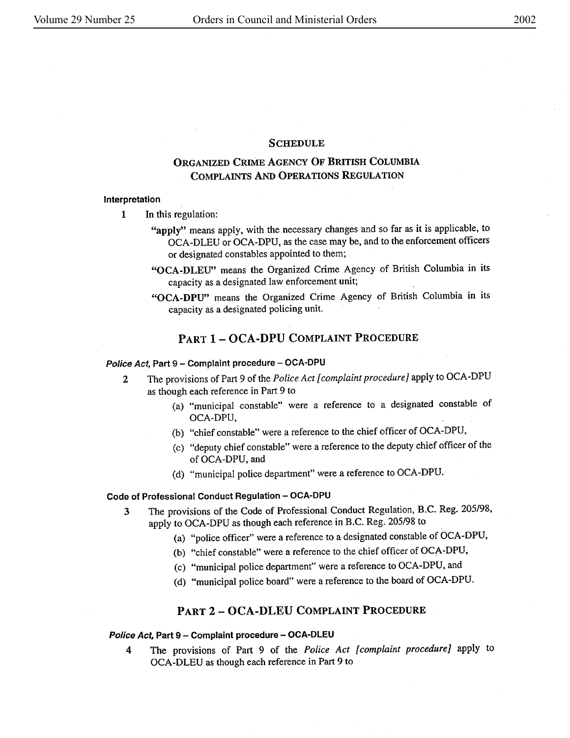#### **SCHEDULE**

# **ORGANIZED CRIME AGENCY OF BRITISH COLUMBIA COMPLAINTS AND OPERATIONS REGULATION**

#### **Interpretation**

- 1 In this regulation:
	- "apply" means apply, with the necessary changes and so far as it is applicable, to OCA-DLEU or OCA-DPU, as the case may be, and to the enforcement officers or designated constables appointed to them;
	- **"OCA-DLEU"** means the Organized Crime Agency of British Columbia in its capacity as a designated law enforcement unit;
	- **"OCA-DPU"** means the Organized Crime Agency of British Columbia in its capacity as a designated policing unit.

# **PART 1** - **OCA-DPU COMPLAINT PROCEDURE**

#### Police Act, Part 9 - Complaint procedure - OCA-DPU

- 2 The provisions of Part 9 of the *Police Act [ complaint procedure]* apply to OCA-DPU as though each reference in Part 9 to
	- (a) "municipal constable" were a reference to a designated constable of OCA-DPU,
	- (b) "chief constable" were a reference to the chief officer of OCA-DPU,
	- (c) "deputy chief constable" were a reference to the deputy chief officer of the **of** OCA-DPU, and
	- (d) "municipal police department" were a reference to OCA-DPU.

## Code of Professional Conduct Regulation - OCA-DPU

- 3 The provisions of the Code of Professional Conduct Regulation, B.C. Reg. 205/98, apply to OCA-DPU as though each reference in B.C. Reg. 205/98 to
	- (a) "police officer" were a reference to a designated constable of OCA-DPU,
	- (b) "chief constable" were a reference to the chief officer of OCA-DPU,
	- (c) "municipal police department" were a reference to OCA-DPU, and
	- (d) "municipal police board" were a reference to the board of OCA-DPU.

#### **PART 2** - **OCA-DLEU COMPLAINT PROCEDURE**

#### **Police Act,** Part 9 - **Complaint procedure** - **OCA-DLEU**

**<sup>4</sup>**The provisions of Part 9 of the *Police Act [complaint procedure]* apply to OCA-DLEU as though each reference in Part 9 to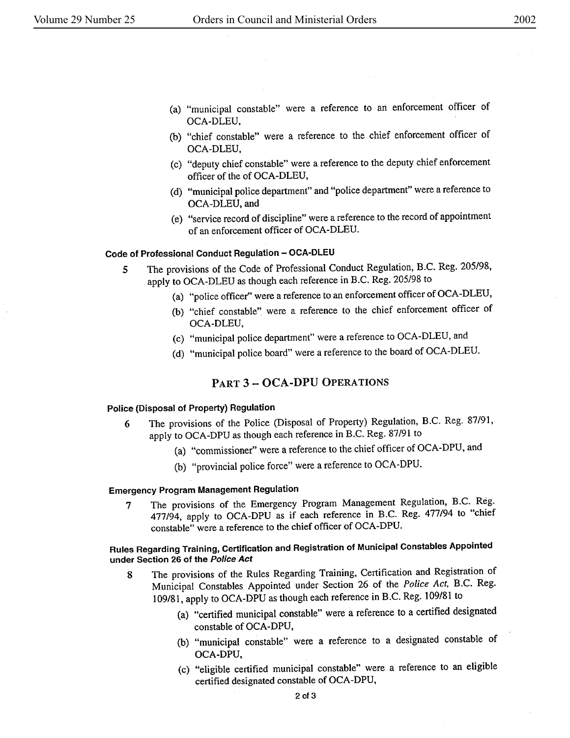- (a) "municipal constable" were a reference to an enforcement officer of OCA-DLEU,
- (b) "chief constable" were a reference to the chief enforcement officer of OCA-DLEU,
- (c) "deputy chief constable" were a reference to the deputy chief enforcement officer of the of OCA-DLEU,
- (d) "municipal police department" and "police department" were a reference to OCA-DLEU, and
- (e) "service record of discipline" were a reference to the record of appointment of an enforcement officer of OCA-DLEU.

#### **Code of Professional Conduct Regulation - OCA-DLEU**

- 5 The provisions of the Code of Professional Conduct Regulation, B.C. Reg. 205/98, apply to OCA-DLEU as though each reference in B.C. Reg. 205/98 to
	- (a) "police officer'' were a reference to an enforcement officer of OCA-DLEU,
	- (b) "chief constable" were a reference to the chief enforcement officer of OCA-DLEU,
	- (c) "municipal police department" were a reference to OCA-DLEU, and
	- (d) "municipal police board" were a reference to the board of OCA-DLEU.

#### **PART 3** - **OCA-DPU OPERATIONS**

## **Police (Disposal of Property) Regulation**

- 6 The provisions of the Police (Disposal of Property) Regulation, B.C. Reg. 87/91, apply to OCA-DPU as though each reference in B.C. Reg. 87/91 to
	- (a) "commissioner" were a reference to the chief officer of OCA-DPU, and
	- (b) "provincial police force" were a reference to OCA-DPU.

## **Emergency Program Management Regulation**

**7** The provisions of the Emergency Program Management Regulation, B.C. Reg. 477/94, apply to OCA-DPU as if each reference in B.C. Reg. 477/94 to "chief constable" were a reference to the chief officer of OCA-DPU.

# **Rules Regarding Training, Certification and Registration of Municipal Constables Appointed under Section 26 of the Police Act**

- **8** The provisions of the Rules Regarding Training, Certification and Registration of Municipal Constables Appointed under Section 26 of the *Police Act,* B.C. Reg. 109/81, apply to OCA-DPU as though each reference in B.C. Reg. 109/81 to
	- (a) "certified municipal constable" were a reference to a certified designated constable of OCA-DPU,
	- (b) "municipal constable" were a reference to a designated constable of OCA-DPU,
	- (c) "eligible certified municipal constable" were a reference to an eligible certified designated constable of OCA-DPU,